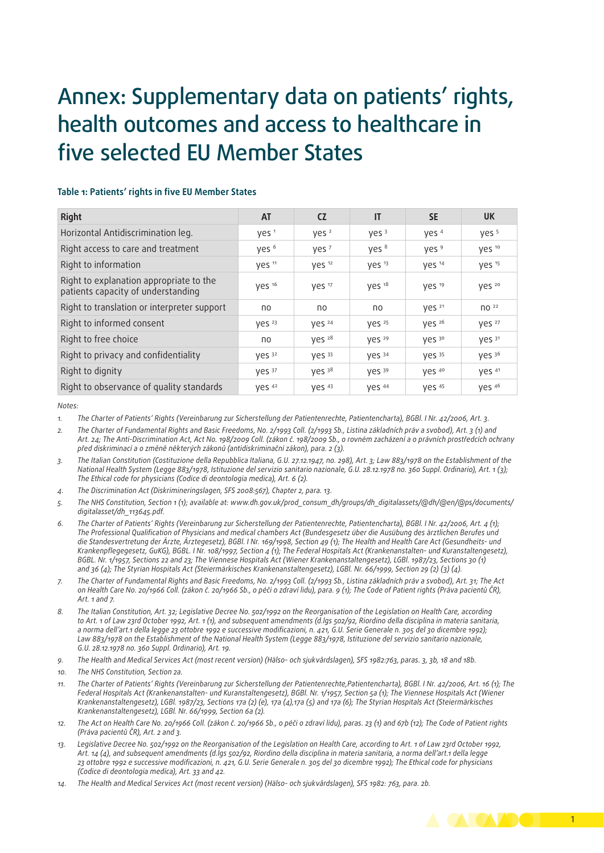# Annex: Supplementary data on patients' rights, health outcomes and access to healthcare in five selected EU Member States

| וטטוכ ו. ו טמכות  יוקות  וויור בט ווכחוטכו אמנכז                              |                   |                   |                   |                   |                               |  |  |  |
|-------------------------------------------------------------------------------|-------------------|-------------------|-------------------|-------------------|-------------------------------|--|--|--|
| <b>Right</b>                                                                  | <b>AT</b>         | <b>CZ</b>         | IT                | <b>SE</b>         | <b>UK</b>                     |  |  |  |
| Horizontal Antidiscrimination leg.                                            | yes <sup>1</sup>  | yes <sup>2</sup>  | Yes <sup>3</sup>  | yes <sup>4</sup>  | yes <sup>5</sup>              |  |  |  |
| Right access to care and treatment                                            | yes <sup>6</sup>  | Yes <sup>7</sup>  | yes <sup>8</sup>  | yes <sup>9</sup>  | yes <sup>10</sup>             |  |  |  |
| Right to information                                                          | yes 11            | yes <sup>12</sup> | yes 13            | yes 14            | yes 15                        |  |  |  |
| Right to explanation appropriate to the<br>patients capacity of understanding | yes 16            | yes 17            | yes <sup>18</sup> | yes <sup>19</sup> | yes 20                        |  |  |  |
| Right to translation or interpreter support                                   | no                | no                | no                | yes <sup>21</sup> | $\overline{10}$ <sup>22</sup> |  |  |  |
| Right to informed consent                                                     | Yes <sup>23</sup> | yes 24            | VES <sup>25</sup> | yes 26            | yes 27                        |  |  |  |
| Right to free choice                                                          | no                | yes <sup>28</sup> | yes <sup>29</sup> | Ves 30            | yes 31                        |  |  |  |
| Right to privacy and confidentiality                                          | yes 32            | VES <sup>33</sup> | yes 34            | <b>Ves</b> 35     | yes 36                        |  |  |  |
| Right to dignity                                                              | $VES$ 37          | yes 38            | Ves 39            | yes 40            | yes <sup>41</sup>             |  |  |  |
| Right to observance of quality standards                                      | yes 42            | yes 43            | ves 44            | yes 45            | yes 46                        |  |  |  |

### **Table 1: Patients' rights in five EU Member States**

*Notes:*

*1. The Charter of Patients' Rights (Vereinbarung zur Sicherstellung der Patientenrechte, Patientencharta), BGBl. I Nr. 42/2006, Art. 3.*

*2. The Charter of Fundamental Rights and Basic Freedoms, No. 2/1993 Coll. (2/1993 Sb., Listina základních práv a svobod), Art. 3 (1) and Art. 24; The Anti-Discrimination Act, Act No. 198/2009 Coll. (zákon č. 198/2009 Sb., o rovném zacházení a o právních prostředcích ochrany před diskriminací a o změně některých zákonů (antidiskriminační zákon), para. 2 (3).*

*3. The Italian Constitution (Costituzione della Repubblica Italiana, G.U. 27.12.1947, no. 298), Art. 3; Law 883/1978 on the Establishment of the National Health System (Legge 883/1978, Istituzione del servizio sanitario nazionale, G.U. 28.12.1978 no. 360 Suppl. Ordinario), Art. 1 (3); The Ethical code for physicians (Codice di deontologia medica), Art. 6 (2).*

- *4. The Discrimination Act (Diskrimineringslagen, SFS 2008:567), Chapter 2, para. 13.*
- *5. The NHS Constitution, Section 1 (1); available at: [www.dh.gov.uk/prod\\_consum\\_dh/groups/dh\\_digitalassets/@dh/@en/@ps/documents/](www.dh.gov.uk/prod_consum_dh/groups/dh_digitalassets/@dh/@en/@ps/documents/digitalasset/dh_113645.pdf ) [digitalasset/dh\\_113645.pdf](www.dh.gov.uk/prod_consum_dh/groups/dh_digitalassets/@dh/@en/@ps/documents/digitalasset/dh_113645.pdf ).*
- *6. The Charter of Patients' Rights (Vereinbarung zur Sicherstellung der Patientenrechte, Patientencharta), BGBl. I Nr. 42/2006, Art. 4 (1); The Professional Qualification of Physicians and medical chambers Act (Bundesgesetz über die Ausübung des ärztlichen Berufes und die Standesvertretung der Ärzte, Ärztegesetz), BGBl. I Nr. 169/1998, Section 49 (1); The Health and Health Care Act (Gesundheits- und Krankenpflegegesetz, GuKG), BGBL. I Nr. 108/1997, Section 4 (1); The Federal Hospitals Act (Krankenanstalten- und Kuranstaltengesetz), BGBL. Nr. 1/1957, Sections 22 and 23; The Viennese Hospitals Act (Wiener Krankenanstaltengesetz), LGBl. 1987/23, Sections 30 (1) and 36 (4); The Styrian Hospitals Act (Steiermärkisches Krankenanstaltengesetz), LGBl. Nr. 66/1999, Section 29 (2) (3) (4).*
- *7. The Charter of Fundamental Rights and Basic Freedoms, No. 2/1993 Coll. (2/1993 Sb., Listina základních práv a svobod), Art. 31; The Act on Health Care No. 20/1966 Coll. (zákon č. 20/1966 Sb., o péči o zdraví lidu), para. 9 (1); The Code of Patient rights (Práva pacientů ČR), Art. 1 and 7.*
- *8. The Italian Constitution, Art. 32; Legislative Decree No. 502/1992 on the Reorganisation of the Legislation on Health Care, according to Art. 1 of Law 23rd October 1992, Art. 1 (1), and subsequent amendments (d.lgs 502/92, Riordino della disciplina in materia sanitaria, a norma dell'art.1 della legge 23 ottobre 1992 e successive modificazioni, n. 421, G.U. Serie Generale n. 305 del 30 dicembre 1992); Law 883/1978 on the Establishment of the National Health System (Legge 883/1978, Istituzione del servizio sanitario nazionale, G.U. 28.12.1978 no. 360 Suppl. Ordinario), Art. 19.*

*9. The Health and Medical Services Act (most recent version) (Hälso- och sjukvårdslagen), SFS 1982:763, paras. 3, 3b, 18 and 18b.*

*10. The NHS Constitution, Section 2a.*

- *11. The Charter of Patients' Rights (Vereinbarung zur Sicherstellung der Patientenrechte,Patientencharta), BGBl. I Nr. 42/2006, Art. 16 (1); The Federal Hospitals Act (Krankenanstalten- und Kuranstaltengesetz), BGBl. Nr. 1/1957, Section 5a (1); The Viennese Hospitals Act (Wiener Krankenanstaltengesetz), LGBl. 1987/23, Sections 17a (2) (e), 17a (4),17a (5) and 17a (6); The Styrian Hospitals Act (Steiermärkisches Krankenanstaltengesetz), LGBl. Nr. 66/1999, Section 6a (2).*
- *12. The Act on Health Care No. 20/1966 Coll. (zákon č. 20/1966 Sb., o péči o zdraví lidu), paras. 23 (1) and 67b (12); The Code of Patient rights (Práva pacientů ČR), Art. 2 and 3.*
- *13. Legislative Decree No. 502/1992 on the Reorganisation of the Legislation on Health Care, according to Art. 1 of Law 23rd October 1992, Art. 14 (4), and subsequent amendments (d.lgs 502/92, Riordino della disciplina in materia sanitaria, a norma dell'art.1 della legge 23 ottobre 1992 e successive modificazioni, n. 421, G.U. Serie Generale n. 305 del 30 dicembre 1992); The Ethical code for physicians (Codice di deontologia medica), Art. 33 and 42.*
- *14. The Health and Medical Services Act (most recent version) (Hälso- och sjukvårdslagen), SFS 1982: 763, para. 2b.*

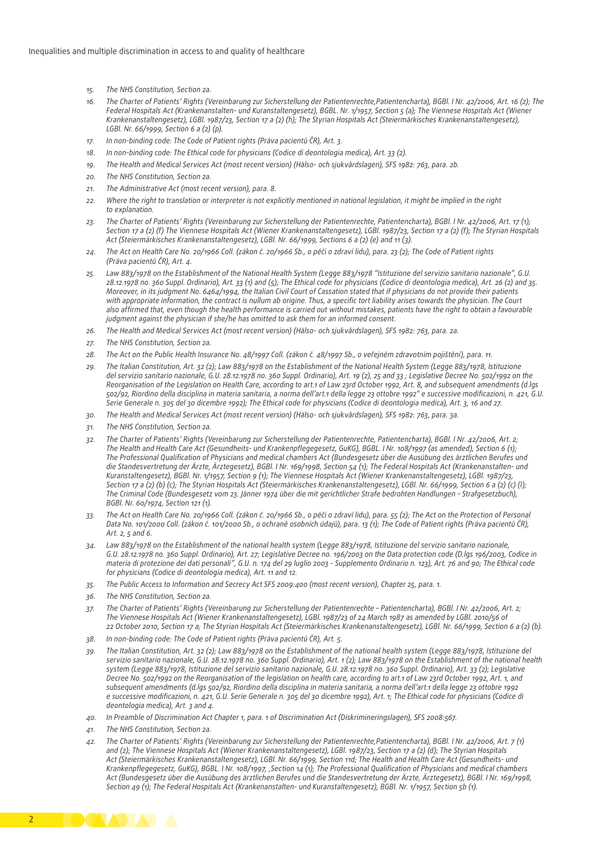- *15. The NHS Constitution, Section 2a.*
- *16. The Charter of Patients' Rights (Vereinbarung zur Sicherstellung der Patientenrechte,Patientencharta), BGBl. I Nr. 42/2006, Art. 16 (2); The Federal Hospitals Act (Krankenanstalten- und Kuranstaltengesetz), BGBL. Nr. 1/1957, Section 5 (a); The Viennese Hospitals Act (Wiener Krankenanstaltengesetz), LGBl. 1987/23, Section 17 a (2) (h); The Styrian Hospitals Act (Steiermärkisches Krankenanstaltengesetz), LGBl. Nr. 66/1999, Section 6 a (2) (p).*
- *17. In non-binding code: The Code of Patient rights (Práva pacientů ČR), Art. 3.*
- *18. In non-binding code: The Ethical code for physicians (Codice di deontologia medica), Art. 33 (2).*
- *19. The Health and Medical Services Act (most recent version) (Hälso- och sjukvårdslagen), SFS 1982: 763, para. 2b.*
- *20. The NHS Constitution, Section 2a.*
- *21. The Administrative Act (most recent version), para. 8.*
- *22. Where the right to translation or interpreter is not explicitly mentioned in national legislation, it might be implied in the right to explanation.*
- *23. The Charter of Patients' Rights (Vereinbarung zur Sicherstellung der Patientenrechte, Patientencharta), BGBl. I Nr. 42/2006, Art. 17 (1); Section 17 a (2) (f) The Viennese Hospitals Act (Wiener Krankenanstaltengesetz), LGBl. 1987/23, Section 17 a (2) (f); The Styrian Hospitals Act (Steiermärkisches Krankenanstaltengesetz), LGBl. Nr. 66/1999, Sections 6 a (2) (e) and 11 (3).*
- *24. The Act on Health Care No. 20/1966 Coll. (zákon č. 20/1966 Sb., o péči o zdraví lidu), para. 23 (2); The Code of Patient rights (Práva pacientů ČR), Art. 4.*
- *25. Law 883/1978 on the Establishment of the National Health System (Legge 883/1978 "Istituzione del servizio sanitario nazionale", G.U. 28.12.1978 no. 360 Suppl. Ordinario), Art. 33 (1) and (5); The Ethical code for physicians (Codice di deontologia medica), Art. 26 (2) and 35. Moreover, in its judgment No. 6464/1994, the Italian Civil Court of Cassation stated that if physicians do not provide their patients*  with appropriate information, the contract is nullum ab origine. Thus, a specific tort liability arises towards the physician. The Court *also affirmed that, even though the health performance is carried out without mistakes, patients have the right to obtain a favourable judgment against the physician if she/he has omitted to ask them for an informed consent.*
- *26. The Health and Medical Services Act (most recent version) (Hälso- och sjukvårdslagen), SFS 1982: 763, para. 2a.*
- *27. The NHS Constitution, Section 2a.*
- *28. The Act on the Public Health Insurance No. 48/1997 Coll. (zákon č. 48/1997 Sb., o veřejném zdravotním pojištění), para. 11.*
- *29. The Italian Constitution, Art. 32 (2); Law 883/1978 on the Establishment of the National Health System (Legge 883/1978, Istituzione del servizio sanitario nazionale, G.U. 28.12.1978 no. 360 Suppl. Ordinario), Art. 19 (2), 25 and 33 ; Legislative Decree No. 502/1992 on the Reorganisation of the Legislation on Health Care, according to art.1 of Law 23rd October 1992, Art. 8, and subsequent amendments (d.lgs 502/92, Riordino della disciplina in materia sanitaria, a norma dell'art.1 della legge 23 ottobre 1992" e successive modificazioni, n. 421, G.U. Serie Generale n. 305 del 30 dicembre 1992); The Ethical code for physicians (Codice di deontologia medica), Art. 3, 16 and 27.*
- *30. The Health and Medical Services Act (most recent version) (Hälso- och sjukvårdslagen), SFS 1982: 763, para. 3a.*
- *31. The NHS Constitution, Section 2a.*
- *32. The Charter of Patients' Rights (Vereinbarung zur Sicherstellung der Patientenrechte, Patientencharta), BGBl. I Nr. 42/2006, Art. 2; The Health and Health Care Act (Gesundheits- und Krankenpflegegesetz, GuKG), BGBL. I Nr. 108/1997 (as amended), Section 6 (1); The Professional Qualification of Physicians and medical chambers Act (Bundesgesetz über die Ausübung des ärztlichen Berufes und die Standesvertretung der Ärzte, Ärztegesetz), BGBl. I Nr. 169/1998, Section 54 (1); The Federal Hospitals Act (Krankenanstalten- und Kuranstaltengesetz), BGBl. Nr. 1/1957, Section 9 (1); The Viennese Hospitals Act (Wiener Krankenanstaltengesetz), LGBl. 1987/23, Section 17 a (2) (b) (c); The Styrian Hospitals Act (Steiermärkisches Krankenanstaltengesetz), LGBl. Nr. 66/1999, Section 6 a (2) (c) (l); The Criminal Code (Bundesgesetz vom 23. Jänner 1974 über die mit gerichtlicher Strafe bedrohten Handlungen – Strafgesetzbuch), BGBl. Nr. 60/1974, Section 121 (1).*
- *33. The Act on Health Care No. 20/1966 Coll. (zákon č. 20/1966 Sb., o péči o zdraví lidu), para. 55 (2); The Act on the Protection of Personal Data No. 101/2000 Coll. (zákon č. 101/2000 Sb., o ochraně osobních údajů), para. 13 (1); The Code of Patient rights (Práva pacientů ČR), Art. 2, 5 and 6.*
- *34. Law 883/1978 on the Establishment of the national health system (Legge 883/1978, Istituzione del servizio sanitario nazionale, G.U. 28.12.1978 no. 360 Suppl. Ordinario), Art. 27; Legislative Decree no. 196/2003 on the Data protection code (D.lgs 196/2003, Codice in materia di protezione dei dati personali", G.U. n. 174 del 29 luglio 2003 - Supplemento Ordinario n. 123), Art. 76 and 90; The Ethical code for physicians (Codice di deontologia medica), Art. 11 and 12.*
- *35. The Public Access to Information and Secrecy Act SFS 2009:400 (most recent version), Chapter 25, para. 1.*
- *36. The NHS Constitution, Section 2a.*
- *37. The Charter of Patients' Rights (Vereinbarung zur Sicherstellung der Patientenrechte Patientencharta), BGBl. I Nr. 42/2006, Art. 2; The Viennese Hospitals Act (Wiener Krankenanstaltengesetz), LGBl. 1987/23 of 24 March 1987 as amended by LGBl. 2010/56 of 22 October 2010, Section 17 a; The Styrian Hospitals Act (Steiermärkisches Krankenanstaltengesetz), LGBl. Nr. 66/1999, Section 6 a (2) (b).*
- *38. In non-binding code: The Code of Patient rights (Práva pacientů ČR), Art. 5.*
- *39. The Italian Constitution, Art. 32 (2); Law 883/1978 on the Establishment of the national health system (Legge 883/1978, Istituzione del servizio sanitario nazionale, G.U. 28.12.1978 no. 360 Suppl. Ordinario), Art. 1 (2); Law 883/1978 on the Establishment of the national health system (Legge 883/1978, Istituzione del servizio sanitario nazionale, G.U. 28.12.1978 no. 360 Suppl. Ordinario), Art. 33 (2); Legislative Decree No. 502/1992 on the Reorganisation of the legislation on health care, according to art.1 of Law 23rd October 1992, Art. 1, and subsequent amendments (d.lgs 502/92, Riordino della disciplina in materia sanitaria, a norma dell'art.1 della legge 23 ottobre 1992 e successive modificazioni, n. 421, G.U. Serie Generale n. 305 del 30 dicembre 1992), Art. 1; The Ethical code for physicians (Codice di deontologia medica), Art. 3 and 4.*
- *40. In Preamble of Discrimination Act Chapter 1, para. 1 of Discrimination Act (Diskrimineringslagen), SFS 2008:567.*
- *41. The NHS Constitution, Section 2a.*
- *42. The Charter of Patients' Rights (Vereinbarung zur Sicherstellung der Patientenrechte,Patientencharta), BGBl. I Nr. 42/2006, Art. 7 (1) and (2); The Viennese Hospitals Act (Wiener Krankenanstaltengesetz), LGBl. 1987/23, Section 17 a (2) (d); The Styrian Hospitals Act (Steiermärkisches Krankenanstaltengesetz), LGBl. Nr. 66/1999, Section 11d; The Health and Health Care Act (Gesundheits- und Krankenpflegegesetz, GuKG), BGBL. I Nr. 108/1997, 'Section 14 (1); The Professional Qualification of Physicians and medical chambers Act (Bundesgesetz über die Ausübung des ärztlichen Berufes und die Standesvertretung der Ärzte, Ärztegesetz), BGBl. I Nr. 169/1998, Section 49 (1); The Federal Hospitals Act (Krankenanstalten- und Kuranstaltengesetz), BGBl. Nr. 1/1957, Section 5b (1).*

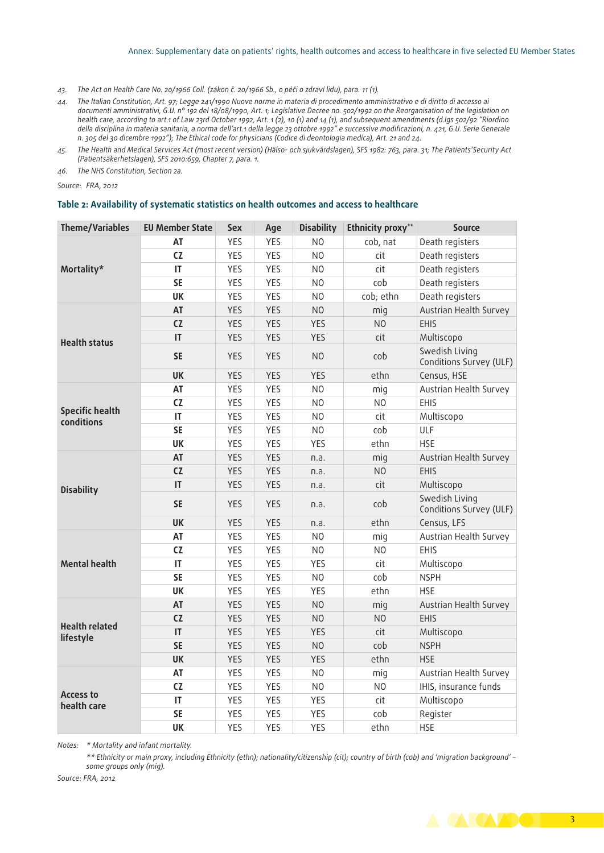#### Annex: Supplementary data on patients' rights, health outcomes and access to healthcare in five selected EU Member States

- *43. The Act on Health Care No. 20/1966 Coll. (zákon č. 20/1966 Sb., o péči o zdraví lidu), para. 11 (1).*
- *44. The Italian Constitution, Art. 97; Legge 241/1990 Nuove norme in materia di procedimento amministrativo e di diritto di accesso ai documenti amministrativi, G.U. n° 192 del 18/08/1990, Art. 1; Legislative Decree no. 502/1992 on the Reorganisation of the legislation on health care, according to art.1 of Law 23rd October 1992, Art. 1 (2), 10 (1) and 14 (1), and subsequent amendments (d.lgs 502/92 "Riordino della disciplina in materia sanitaria, a norma dell'art.1 della legge 23 ottobre 1992" e successive modificazioni, n. 421, G.U. Serie Generale n. 305 del 30 dicembre 1992"); The Ethical code for physicians (Codice di deontologia medica), Art. 21 and 24.*
- *45. The Health and Medical Services Act (most recent version) (Hälso- och sjukvårdslagen), SFS 1982: 763, para. 31; The Patients'Security Act (Patientsäkerhetslagen), SFS 2010:659, Chapter 7, para. 1.*
- *46. The NHS Constitution, Section 2a.*

*Source: FRA, 2012*

#### **Table 2: Availability of systematic statistics on health outcomes and access to healthcare**

| <b>Theme/Variables</b>               | <b>EU Member State</b> | <b>Sex</b> | Age        | <b>Disability</b> | Ethnicity proxy** | <b>Source</b>                             |  |
|--------------------------------------|------------------------|------------|------------|-------------------|-------------------|-------------------------------------------|--|
| Mortality*                           | AT                     | <b>YES</b> | <b>YES</b> | N <sub>O</sub>    | cob, nat          | Death registers                           |  |
|                                      | CZ                     | YES        | YES        | N <sub>O</sub>    | cit               | Death registers                           |  |
|                                      | IT                     | YES        | YES        | N <sub>O</sub>    | cit               | Death registers                           |  |
|                                      | <b>SE</b>              | YES        | YES        | N <sub>O</sub>    | cob               | Death registers                           |  |
|                                      | <b>UK</b>              | YES        | YES        | N <sub>O</sub>    | cob; ethn         | Death registers                           |  |
| <b>Health status</b>                 | AT                     | <b>YES</b> | <b>YES</b> | N <sub>O</sub>    | mig               | Austrian Health Survey                    |  |
|                                      | CZ                     | <b>YES</b> | <b>YES</b> | <b>YES</b>        | N <sub>O</sub>    | <b>EHIS</b>                               |  |
|                                      | IT                     | YES        | YES        | YES               | cit               | Multiscopo                                |  |
|                                      | <b>SE</b>              | <b>YES</b> | <b>YES</b> | N <sub>O</sub>    | cob               | Swedish Living<br>Conditions Survey (ULF) |  |
|                                      | <b>UK</b>              | YES        | <b>YES</b> | <b>YES</b>        | ethn              | Census, HSE                               |  |
|                                      | AT                     | <b>YES</b> | YES        | N <sub>O</sub>    | mig               | Austrian Health Survey                    |  |
|                                      | <b>CZ</b>              | YES        | YES        | N <sub>O</sub>    | N <sub>O</sub>    | <b>EHIS</b>                               |  |
| <b>Specific health</b><br>conditions | $\mathsf{I}\mathsf{T}$ | YES        | YES        | N <sub>O</sub>    | cit               | Multiscopo                                |  |
|                                      | <b>SE</b>              | YES        | YES        | N <sub>O</sub>    | cob               | ULF                                       |  |
|                                      | <b>UK</b>              | YES        | YES        | <b>YES</b>        | ethn              | <b>HSE</b>                                |  |
| <b>Disability</b>                    | AT                     | <b>YES</b> | YES        | n.a.              | mig               | Austrian Health Survey                    |  |
|                                      | CZ                     | <b>YES</b> | YES        | n.a.              | N <sub>O</sub>    | <b>EHIS</b>                               |  |
|                                      | $\mathsf{I}\mathsf{T}$ | <b>YES</b> | <b>YES</b> | n.a.              | cit               | Multiscopo                                |  |
|                                      | <b>SE</b>              | YES.       | <b>YES</b> | n.a.              | cob               | Swedish Living<br>Conditions Survey (ULF) |  |
|                                      | <b>UK</b>              | <b>YES</b> | YES        | n.a.              | ethn              | Census, LFS                               |  |
|                                      | AT                     | YES        | YES        | NO.               | mig               | Austrian Health Survey                    |  |
|                                      | CZ                     | <b>YES</b> | YES        | N <sub>O</sub>    | N <sub>O</sub>    | EHIS                                      |  |
| <b>Mental health</b>                 | $\mathsf{I}$           | YES        | YES        | YES               | cit               | Multiscopo                                |  |
|                                      | <b>SE</b>              | <b>YES</b> | YES        | N <sub>O</sub>    | cob               | <b>NSPH</b>                               |  |
|                                      | <b>UK</b>              | <b>YES</b> | <b>YES</b> | <b>YES</b>        | ethn              | <b>HSE</b>                                |  |
| <b>Health related</b><br>lifestyle   | AT                     | <b>YES</b> | YES        | N <sub>O</sub>    | mig               | Austrian Health Survey                    |  |
|                                      | CZ                     | <b>YES</b> | YES        | N <sub>O</sub>    | N <sub>O</sub>    | <b>EHIS</b>                               |  |
|                                      | $\mathsf{I}\mathsf{T}$ | <b>YES</b> | <b>YES</b> | <b>YES</b>        | cit               | Multiscopo                                |  |
|                                      | <b>SE</b>              | <b>YES</b> | <b>YES</b> | N <sub>O</sub>    | cob               | <b>NSPH</b>                               |  |
|                                      | <b>UK</b>              | <b>YES</b> | <b>YES</b> | YES               | ethn              | <b>HSE</b>                                |  |
| <b>Access to</b><br>health care      | AT                     | <b>YES</b> | YES        | N <sub>O</sub>    | mig               | Austrian Health Survey                    |  |
|                                      | CZ                     | YES        | YES        | N <sub>O</sub>    | N <sub>O</sub>    | IHIS, insurance funds                     |  |
|                                      | $\mathsf{I}\mathsf{T}$ | <b>YES</b> | YES        | YES               | cit               | Multiscopo                                |  |
|                                      | <b>SE</b>              | <b>YES</b> | YES        | YES               | cob               | Register                                  |  |
|                                      | <b>UK</b>              | <b>YES</b> | <b>YES</b> | YES               | ethn              | <b>HSE</b>                                |  |

*Notes: \* Mortality and infant mortality.* 

*\*\* Ethnicity or main proxy, including Ethnicity (ethn); nationality/citizenship (cit); country of birth (cob) and 'migration background' – some groups only (mig).*

*Source: FRA, 2012*